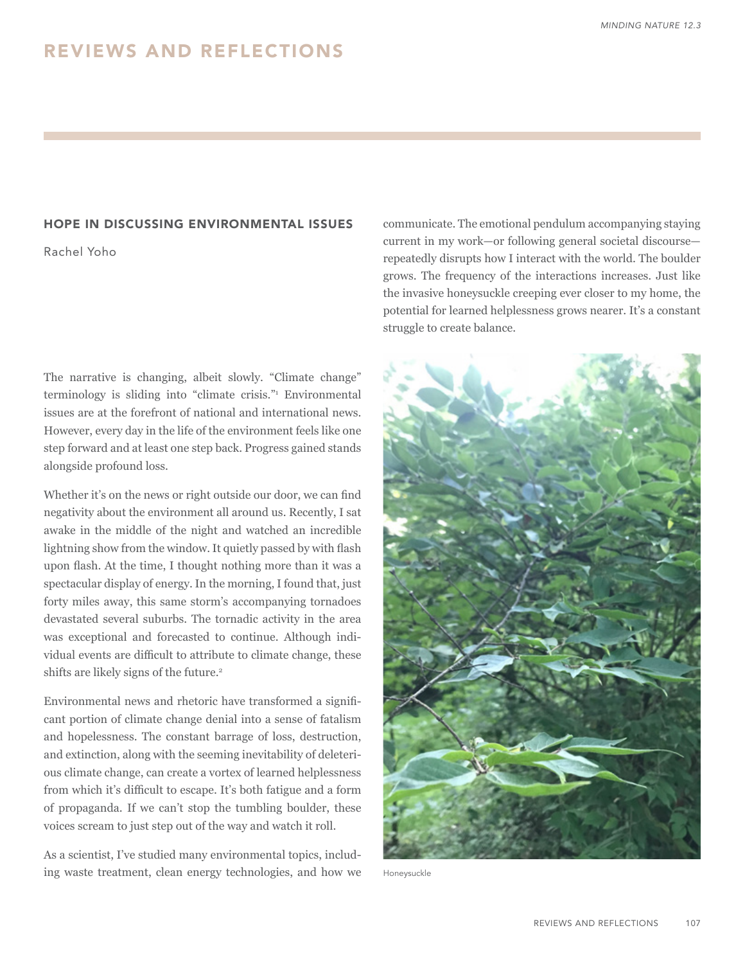## HOPE IN DISCUSSING ENVIRONMENTAL ISSUES

Rachel Yoho

The narrative is changing, albeit slowly. "Climate change" terminology is sliding into "climate crisis." Environmental issues are at the forefront of national and international news. However, every day in the life of the environment feels like one step forward and at least one step back. Progress gained stands alongside profound loss.

Whether it's on the news or right outside our door, we can find negativity about the environment all around us. Recently, I sat awake in the middle of the night and watched an incredible lightning show from the window. It quietly passed by with flash upon flash. At the time, I thought nothing more than it was a spectacular display of energy. In the morning, I found that, just forty miles away, this same storm's accompanying tornadoes devastated several suburbs. The tornadic activity in the area was exceptional and forecasted to continue. Although individual events are difficult to attribute to climate change, these shifts are likely signs of the future.<sup>2</sup>

Environmental news and rhetoric have transformed a significant portion of climate change denial into a sense of fatalism and hopelessness. The constant barrage of loss, destruction, and extinction, along with the seeming inevitability of deleterious climate change, can create a vortex of learned helplessness from which it's difficult to escape. It's both fatigue and a form of propaganda. If we can't stop the tumbling boulder, these voices scream to just step out of the way and watch it roll.

As a scientist, I've studied many environmental topics, including waste treatment, clean energy technologies, and how we communicate. The emotional pendulum accompanying staying current in my work—or following general societal discourse repeatedly disrupts how I interact with the world. The boulder grows. The frequency of the interactions increases. Just like the invasive honeysuckle creeping ever closer to my home, the potential for learned helplessness grows nearer. It's a constant struggle to create balance.



Honeysuckle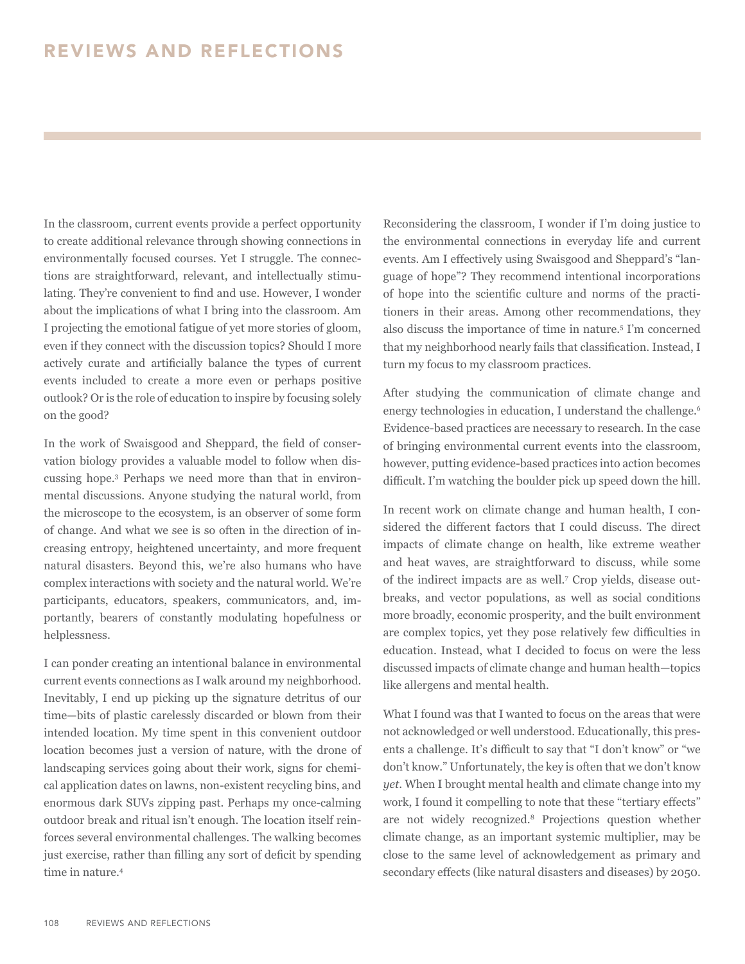In the classroom, current events provide a perfect opportunity to create additional relevance through showing connections in environmentally focused courses. Yet I struggle. The connections are straightforward, relevant, and intellectually stimulating. They're convenient to find and use. However, I wonder about the implications of what I bring into the classroom. Am I projecting the emotional fatigue of yet more stories of gloom, even if they connect with the discussion topics? Should I more actively curate and artificially balance the types of current events included to create a more even or perhaps positive outlook? Or is the role of education to inspire by focusing solely on the good?

In the work of Swaisgood and Sheppard, the field of conservation biology provides a valuable model to follow when discussing hope.3 Perhaps we need more than that in environmental discussions. Anyone studying the natural world, from the microscope to the ecosystem, is an observer of some form of change. And what we see is so often in the direction of increasing entropy, heightened uncertainty, and more frequent natural disasters. Beyond this, we're also humans who have complex interactions with society and the natural world. We're participants, educators, speakers, communicators, and, importantly, bearers of constantly modulating hopefulness or helplessness.

I can ponder creating an intentional balance in environmental current events connections as I walk around my neighborhood. Inevitably, I end up picking up the signature detritus of our time—bits of plastic carelessly discarded or blown from their intended location. My time spent in this convenient outdoor location becomes just a version of nature, with the drone of landscaping services going about their work, signs for chemical application dates on lawns, non-existent recycling bins, and enormous dark SUVs zipping past. Perhaps my once-calming outdoor break and ritual isn't enough. The location itself reinforces several environmental challenges. The walking becomes just exercise, rather than filling any sort of deficit by spending time in nature.4

Reconsidering the classroom, I wonder if I'm doing justice to the environmental connections in everyday life and current events. Am I effectively using Swaisgood and Sheppard's "language of hope"? They recommend intentional incorporations of hope into the scientific culture and norms of the practitioners in their areas. Among other recommendations, they also discuss the importance of time in nature.5 I'm concerned that my neighborhood nearly fails that classification. Instead, I turn my focus to my classroom practices.

After studying the communication of climate change and energy technologies in education, I understand the challenge.<sup>6</sup> Evidence-based practices are necessary to research. In the case of bringing environmental current events into the classroom, however, putting evidence-based practices into action becomes difficult. I'm watching the boulder pick up speed down the hill.

In recent work on climate change and human health, I considered the different factors that I could discuss. The direct impacts of climate change on health, like extreme weather and heat waves, are straightforward to discuss, while some of the indirect impacts are as well.7 Crop yields, disease outbreaks, and vector populations, as well as social conditions more broadly, economic prosperity, and the built environment are complex topics, yet they pose relatively few difficulties in education. Instead, what I decided to focus on were the less discussed impacts of climate change and human health—topics like allergens and mental health.

What I found was that I wanted to focus on the areas that were not acknowledged or well understood. Educationally, this presents a challenge. It's difficult to say that "I don't know" or "we don't know." Unfortunately, the key is often that we don't know *yet*. When I brought mental health and climate change into my work, I found it compelling to note that these "tertiary effects" are not widely recognized.8 Projections question whether climate change, as an important systemic multiplier, may be close to the same level of acknowledgement as primary and secondary effects (like natural disasters and diseases) by 2050.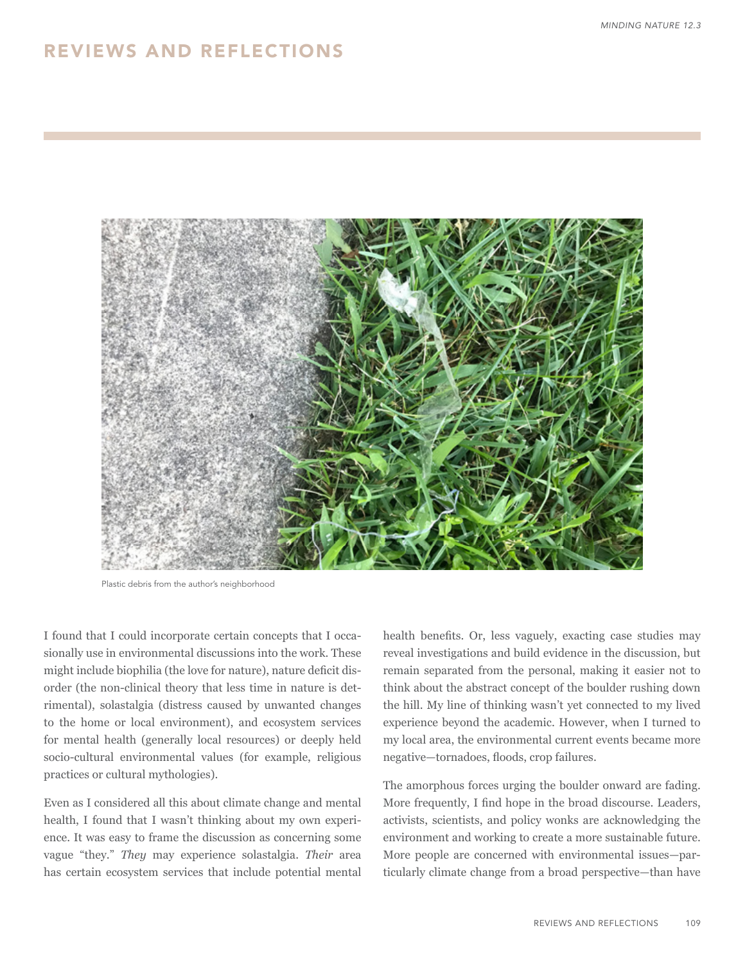## REVIEWS AND REFLECTIONS



Plastic debris from the author's neighborhood

I found that I could incorporate certain concepts that I occasionally use in environmental discussions into the work. These might include biophilia (the love for nature), nature deficit disorder (the non-clinical theory that less time in nature is detrimental), solastalgia (distress caused by unwanted changes to the home or local environment), and ecosystem services for mental health (generally local resources) or deeply held socio-cultural environmental values (for example, religious practices or cultural mythologies).

Even as I considered all this about climate change and mental health, I found that I wasn't thinking about my own experience. It was easy to frame the discussion as concerning some vague "they." *They* may experience solastalgia. *Their* area has certain ecosystem services that include potential mental

health benefits. Or, less vaguely, exacting case studies may reveal investigations and build evidence in the discussion, but remain separated from the personal, making it easier not to think about the abstract concept of the boulder rushing down the hill. My line of thinking wasn't yet connected to my lived experience beyond the academic. However, when I turned to my local area, the environmental current events became more negative—tornadoes, floods, crop failures.

The amorphous forces urging the boulder onward are fading. More frequently, I find hope in the broad discourse. Leaders, activists, scientists, and policy wonks are acknowledging the environment and working to create a more sustainable future. More people are concerned with environmental issues—particularly climate change from a broad perspective—than have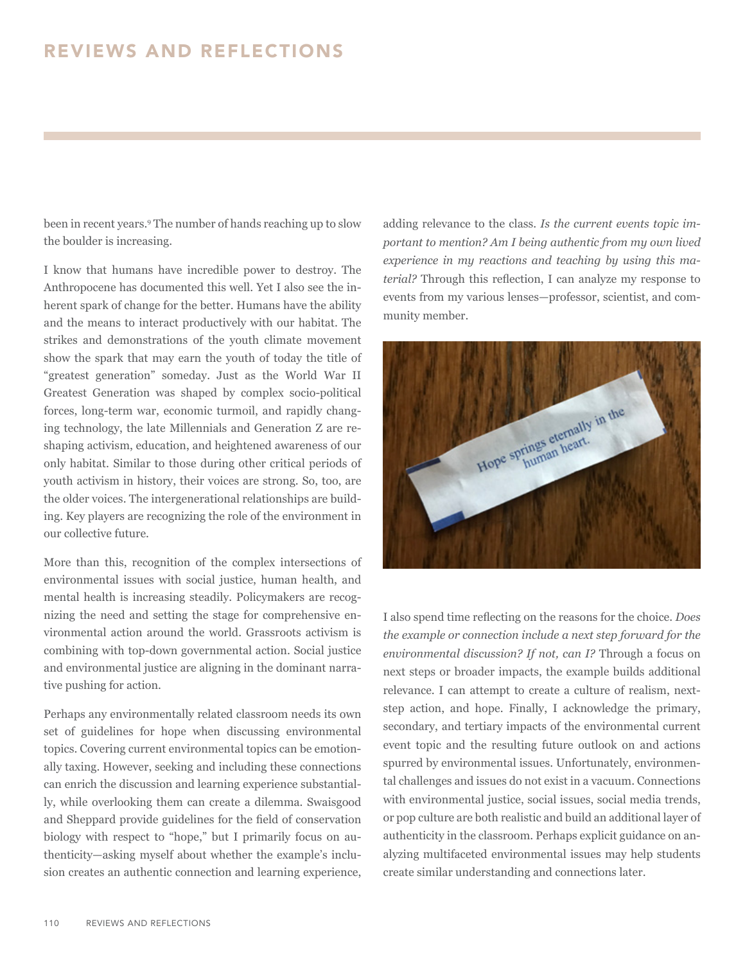## REVIEWS AND REFLECTIONS

been in recent years.9 The number of hands reaching up to slow the boulder is increasing.

I know that humans have incredible power to destroy. The Anthropocene has documented this well. Yet I also see the inherent spark of change for the better. Humans have the ability and the means to interact productively with our habitat. The strikes and demonstrations of the youth climate movement show the spark that may earn the youth of today the title of "greatest generation" someday. Just as the World War II Greatest Generation was shaped by complex socio-political forces, long-term war, economic turmoil, and rapidly changing technology, the late Millennials and Generation Z are reshaping activism, education, and heightened awareness of our only habitat. Similar to those during other critical periods of youth activism in history, their voices are strong. So, too, are the older voices. The intergenerational relationships are building. Key players are recognizing the role of the environment in our collective future.

More than this, recognition of the complex intersections of environmental issues with social justice, human health, and mental health is increasing steadily. Policymakers are recognizing the need and setting the stage for comprehensive environmental action around the world. Grassroots activism is combining with top-down governmental action. Social justice and environmental justice are aligning in the dominant narrative pushing for action.

Perhaps any environmentally related classroom needs its own set of guidelines for hope when discussing environmental topics. Covering current environmental topics can be emotionally taxing. However, seeking and including these connections can enrich the discussion and learning experience substantially, while overlooking them can create a dilemma. Swaisgood and Sheppard provide guidelines for the field of conservation biology with respect to "hope," but I primarily focus on authenticity—asking myself about whether the example's inclusion creates an authentic connection and learning experience,

adding relevance to the class. *Is the current events topic important to mention? Am I being authentic from my own lived experience in my reactions and teaching by using this material?* Through this reflection, I can analyze my response to events from my various lenses—professor, scientist, and community member.



I also spend time reflecting on the reasons for the choice. *Does the example or connection include a next step forward for the environmental discussion? If not, can I?* Through a focus on next steps or broader impacts, the example builds additional relevance. I can attempt to create a culture of realism, nextstep action, and hope. Finally, I acknowledge the primary, secondary, and tertiary impacts of the environmental current event topic and the resulting future outlook on and actions spurred by environmental issues. Unfortunately, environmental challenges and issues do not exist in a vacuum. Connections with environmental justice, social issues, social media trends, or pop culture are both realistic and build an additional layer of authenticity in the classroom. Perhaps explicit guidance on analyzing multifaceted environmental issues may help students create similar understanding and connections later.